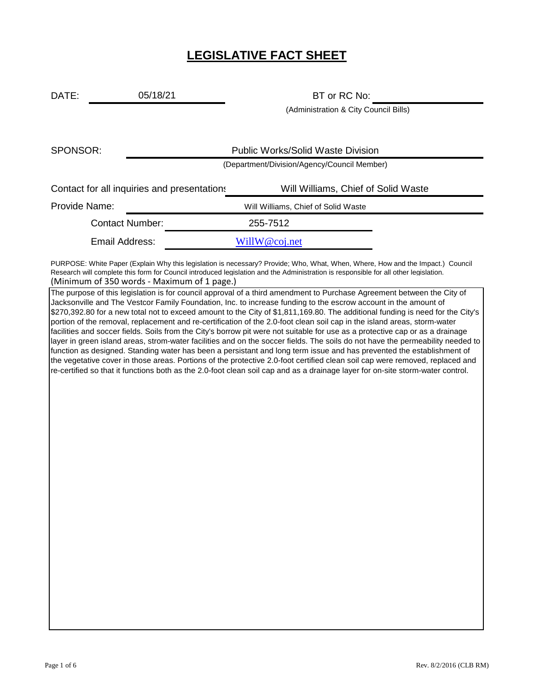# **LEGISLATIVE FACT SHEET**

DATE: 05/18/21 BT or RC No: 05/18/21

(Administration & City Council Bills)

| SPONSOR:                                    |                                             | <b>Public Works/Solid Waste Division</b> |  |
|---------------------------------------------|---------------------------------------------|------------------------------------------|--|
|                                             | (Department/Division/Agency/Council Member) |                                          |  |
| Contact for all inquiries and presentations |                                             | Will Williams, Chief of Solid Waste      |  |
| Provide Name:                               |                                             | Will Williams, Chief of Solid Waste      |  |
| <b>Contact Number:</b>                      |                                             | 255-7512                                 |  |
| Email Address:                              |                                             | WillW@coj.net                            |  |

(Minimum of 350 words - Maximum of 1 page.) PURPOSE: White Paper (Explain Why this legislation is necessary? Provide; Who, What, When, Where, How and the Impact.) Council Research will complete this form for Council introduced legislation and the Administration is responsible for all other legislation.

The purpose of this legislation is for council approval of a third amendment to Purchase Agreement between the City of Jacksonville and The Vestcor Family Foundation, Inc. to increase funding to the escrow account in the amount of \$270,392.80 for a new total not to exceed amount to the City of \$1,811,169.80. The additional funding is need for the City's portion of the removal, replacement and re-certification of the 2.0-foot clean soil cap in the island areas, storm-water facilities and soccer fields. Soils from the City's borrow pit were not suitable for use as a protective cap or as a drainage layer in green island areas, strom-water facilities and on the soccer fields. The soils do not have the permeability needed to function as designed. Standing water has been a persistant and long term issue and has prevented the establishment of the vegetative cover in those areas. Portions of the protective 2.0-foot certified clean soil cap were removed, replaced and re-certified so that it functions both as the 2.0-foot clean soil cap and as a drainage layer for on-site storm-water control.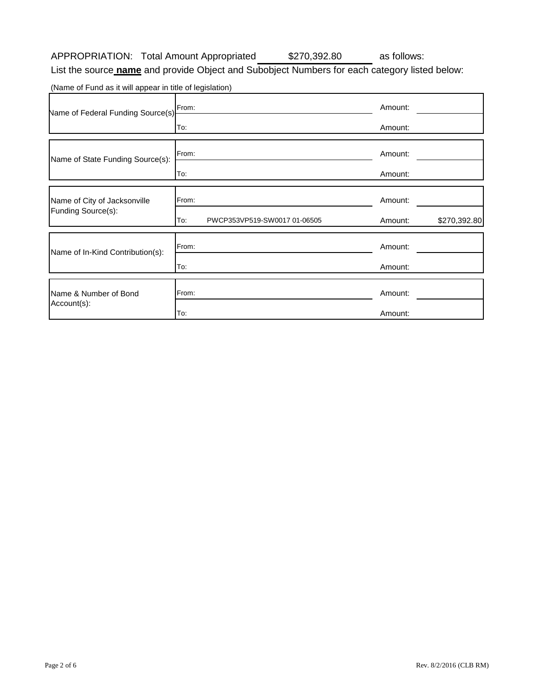#### APPROPRIATION: Total Amount Appropriated \$270,392.80 as follows: \$270,392.80

List the source **name** and provide Object and Subobject Numbers for each category listed below:

(Name of Fund as it will appear in title of legislation)

| Name of Federal Funding Source(s) | From:                               | Amount:                 |
|-----------------------------------|-------------------------------------|-------------------------|
|                                   | To:                                 | Amount:                 |
| Name of State Funding Source(s):  | From:                               | Amount:                 |
|                                   | To:                                 | Amount:                 |
| Name of City of Jacksonville      | From:                               | Amount:                 |
| Funding Source(s):                | To:<br>PWCP353VP519-SW0017 01-06505 | \$270,392.80<br>Amount: |
| Name of In-Kind Contribution(s):  | From:                               | Amount:                 |
|                                   | To:                                 | Amount:                 |
| Name & Number of Bond             | From:                               | Amount:                 |
| Account(s):                       | To:                                 | Amount:                 |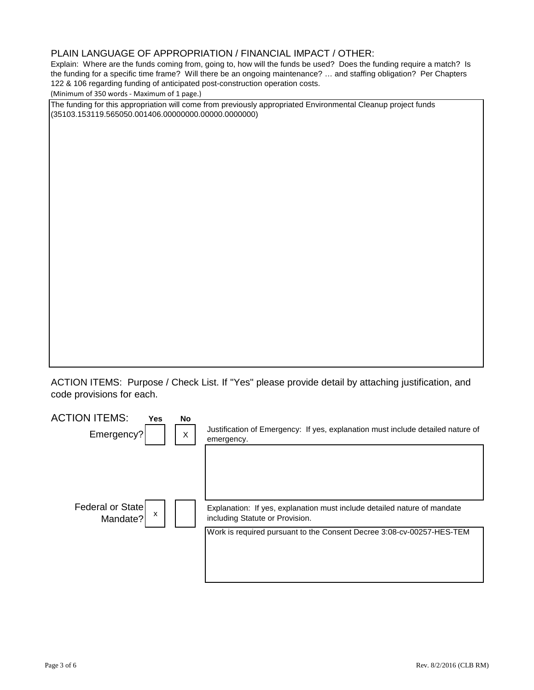# PLAIN LANGUAGE OF APPROPRIATION / FINANCIAL IMPACT / OTHER:

Explain: Where are the funds coming from, going to, how will the funds be used? Does the funding require a match? Is the funding for a specific time frame? Will there be an ongoing maintenance? … and staffing obligation? Per Chapters 122 & 106 regarding funding of anticipated post-construction operation costs.

(Minimum of 350 words - Maximum of 1 page.)

The funding for this appropriation will come from previously appropriated Environmental Cleanup project funds (35103.153119.565050.001406.00000000.00000.0000000)

ACTION ITEMS: Purpose / Check List. If "Yes" please provide detail by attaching justification, and code provisions for each.

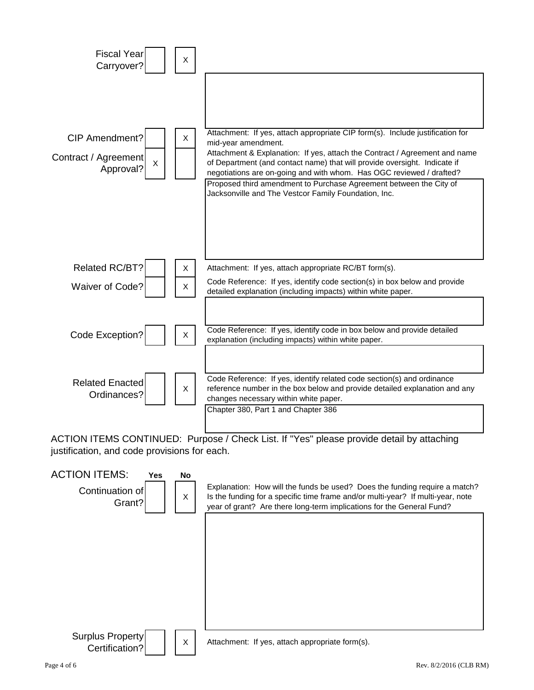

ACTION ITEMS CONTINUED: Purpose / Check List. If "Yes" please provide detail by attaching justification, and code provisions for each.

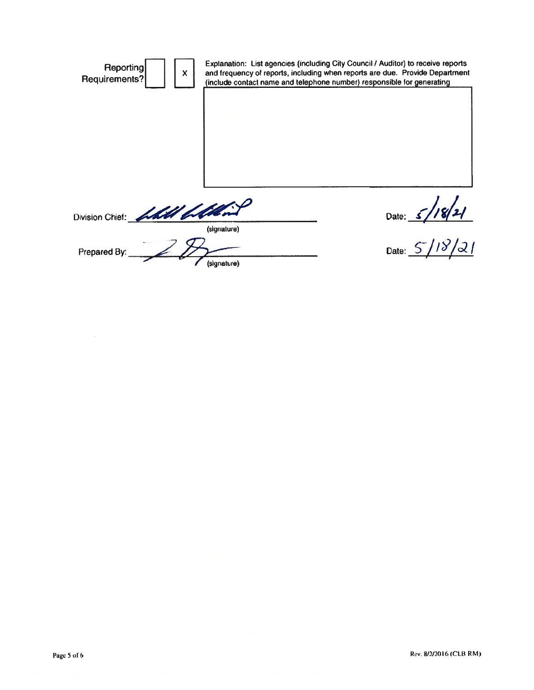| Reporting<br>X<br>Requirements? |             | Explanation: List agencies (including City Council / Auditor) to receive reports<br>and frequency of reports, including when reports are due. Provide Department<br>(include contact name and telephone number) responsible for generating |  |  |  |
|---------------------------------|-------------|--------------------------------------------------------------------------------------------------------------------------------------------------------------------------------------------------------------------------------------------|--|--|--|
|                                 |             |                                                                                                                                                                                                                                            |  |  |  |
|                                 |             |                                                                                                                                                                                                                                            |  |  |  |
|                                 |             |                                                                                                                                                                                                                                            |  |  |  |
| Division Chief: hall ballist    | (signature) | Date: $5/$                                                                                                                                                                                                                                 |  |  |  |
| Prepared By:                    | (signature) | Date:                                                                                                                                                                                                                                      |  |  |  |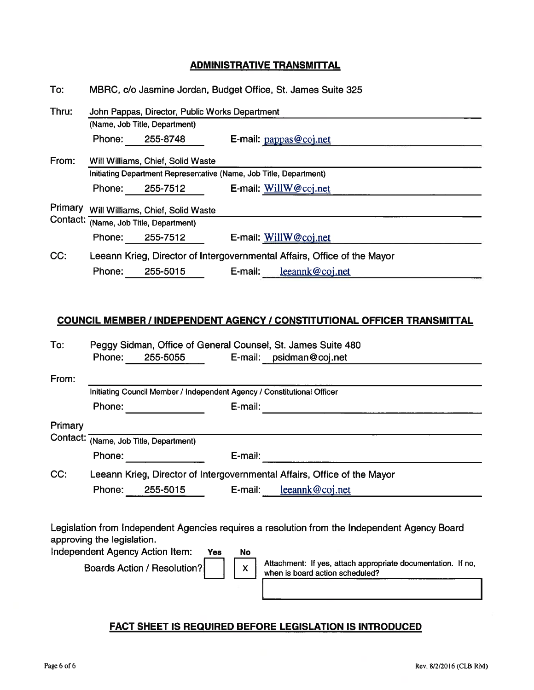# **ADMINISTRATIVE TRANSMITTAL**

| To:     | MBRC, c/o Jasmine Jordan, Budget Office, St. James Suite 325             |                                   |                                                                    |  |  |  |
|---------|--------------------------------------------------------------------------|-----------------------------------|--------------------------------------------------------------------|--|--|--|
| Thru:   | John Pappas, Director, Public Works Department                           |                                   |                                                                    |  |  |  |
|         |                                                                          | (Name, Job Title, Department)     |                                                                    |  |  |  |
|         | Phone:                                                                   | 255-8748                          | E-mail: pappas@coj.net                                             |  |  |  |
| From:   |                                                                          | Will Williams, Chief, Solid Waste |                                                                    |  |  |  |
|         |                                                                          |                                   | Initiating Department Representative (Name, Job Title, Department) |  |  |  |
|         | Phone:                                                                   | 255-7512                          | E-mail: WillW@coj.net                                              |  |  |  |
| Primary |                                                                          | Will Williams, Chief, Solid Waste |                                                                    |  |  |  |
|         | Contact: (Name, Job Title, Department)                                   |                                   |                                                                    |  |  |  |
|         | Phone:                                                                   | 255-7512                          | E-mail: WillW@coj.net                                              |  |  |  |
| CC:     | Leeann Krieg, Director of Intergovernmental Affairs, Office of the Mayor |                                   |                                                                    |  |  |  |
|         | leeannk@coj.net<br>E-mail:<br>255-5015<br>Phone:                         |                                   |                                                                    |  |  |  |

#### **COUNCIL MEMBER / INDEPENDENT AGENCY / CONSTITUTIONAL OFFICER TRANSMITTAL**

| Phone: | 255-5055 |                                        | E-mail: psidman@coj.net                                                                                                                                                                                             |
|--------|----------|----------------------------------------|---------------------------------------------------------------------------------------------------------------------------------------------------------------------------------------------------------------------|
|        |          |                                        |                                                                                                                                                                                                                     |
|        |          |                                        |                                                                                                                                                                                                                     |
| Phone: |          | E-mail:                                |                                                                                                                                                                                                                     |
|        |          |                                        |                                                                                                                                                                                                                     |
|        |          |                                        |                                                                                                                                                                                                                     |
| Phone: |          | E-mail:                                |                                                                                                                                                                                                                     |
|        |          |                                        |                                                                                                                                                                                                                     |
| Phone: | 255-5015 | E-mail:                                | leeannk@coj.net                                                                                                                                                                                                     |
|        |          | Contact: (Name, Job Title, Department) | Peggy Sidman, Office of General Counsel, St. James Suite 480<br>Initiating Council Member / Independent Agency / Constitutional Officer<br>Leeann Krieg, Director of Intergovernmental Affairs, Office of the Mayor |

Legislation from Independent Agencies requires a resolution from the Independent Agency Board approving the legislation.

**No** 

Independent Agency Action Item: **Yes** 

**Boards Action / Resolution?** 

 $\mathsf{X}$ 

Attachment: If yes, attach appropriate documentation. If no, when is board action scheduled?

### **FACT SHEET IS REQUIRED BEFORE LEGISLATION IS INTRODUCED**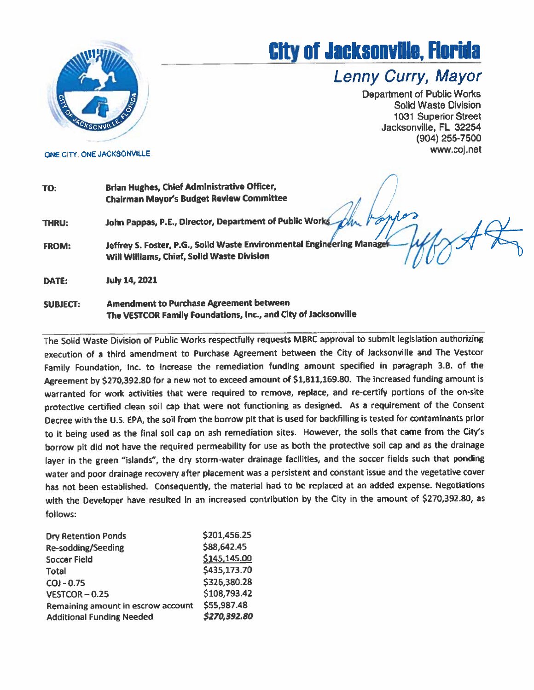

ONE CITY, ONE JACKSONVILLE

# **City of Jacksonville, Florida**

# Lenny Curry, Mayor

**Department of Public Works Solid Waste Division 1031 Superior Street** Jacksonville, FL 32254 (904) 255-7500 www.coj.net

| TO:             | Brian Hughes, Chief Administrative Officer,<br><b>Chairman Mayor's Budget Review Committee</b>                       |
|-----------------|----------------------------------------------------------------------------------------------------------------------|
| THRU:           | John Pappas, P.E., Director, Department of Public Works                                                              |
| <b>FROM:</b>    | Jeffrey S. Foster, P.G., Solid Waste Environmental Engineering Manager<br>Will Williams, Chief, Solid Waste Division |
| DATE:           | <b>July 14, 2021</b>                                                                                                 |
| <b>SUBJECT:</b> | <b>Amendment to Purchase Agreement between</b><br>The VESTCOR Family Foundations, Inc., and City of Jacksonville     |

The Solid Waste Division of Public Works respectfully requests MBRC approval to submit legislation authorizing execution of a third amendment to Purchase Agreement between the City of Jacksonville and The Vestcor Family Foundation, Inc. to increase the remediation funding amount specified in paragraph 3.B. of the Agreement by \$270,392.80 for a new not to exceed amount of \$1,811,169.80. The increased funding amount is warranted for work activities that were required to remove, replace, and re-certify portions of the on-site protective certified clean soil cap that were not functioning as designed. As a requirement of the Consent Decree with the U.S. EPA, the soil from the borrow pit that is used for backfilling is tested for contaminants prior to it being used as the final soil cap on ash remediation sites. However, the soils that came from the City's borrow pit did not have the required permeability for use as both the protective soil cap and as the drainage layer in the green "islands", the dry storm-water drainage facilities, and the soccer fields such that ponding water and poor drainage recovery after placement was a persistent and constant issue and the vegetative cover has not been established. Consequently, the material had to be replaced at an added expense. Negotiations with the Developer have resulted in an increased contribution by the City in the amount of \$270,392.80, as follows:

| <b>Dry Retention Ponds</b>         | \$201,456.25 |
|------------------------------------|--------------|
| Re-sodding/Seeding                 | \$88,642.45  |
| <b>Soccer Field</b>                | \$145,145.00 |
| <b>Total</b>                       | \$435,173.70 |
| $COJ - 0.75$                       | \$326,380.28 |
| $VESTCOR - 0.25$                   | \$108,793.42 |
| Remaining amount in escrow account | \$55,987.48  |
| <b>Additional Funding Needed</b>   | \$270,392.80 |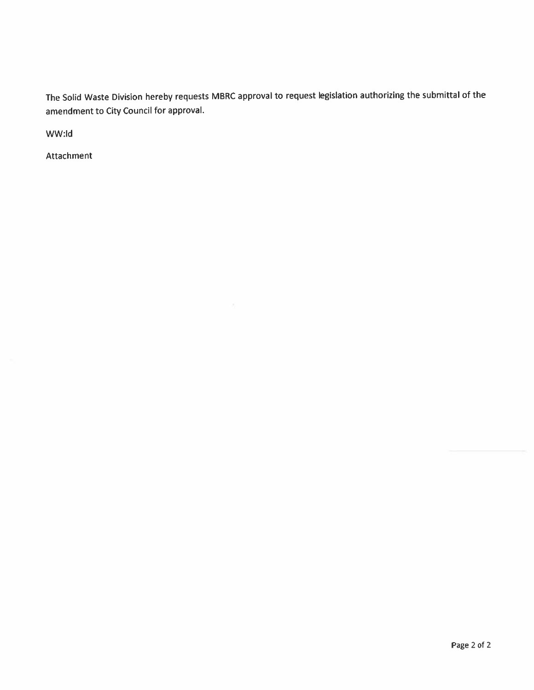The Solid Waste Division hereby requests MBRC approval to request legislation authorizing the submittal of the amendment to City Council for approval.

WW:ld

Attachment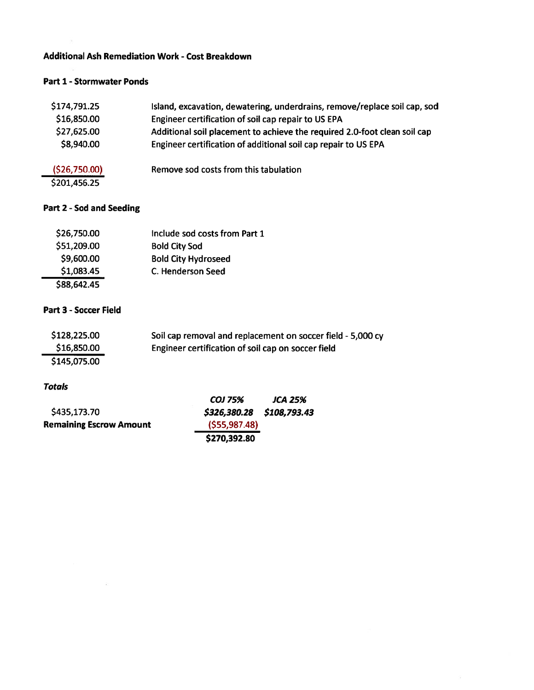# **Additional Ash Remediation Work - Cost Breakdown**

#### **Part 1 - Stormwater Ponds**

| \$174,791.25  | Island, excavation, dewatering, underdrains, remove/replace soil cap, sod |
|---------------|---------------------------------------------------------------------------|
| \$16,850.00   | Engineer certification of soil cap repair to US EPA                       |
| \$27,625.00   | Additional soil placement to achieve the required 2.0-foot clean soil cap |
| \$8,940.00    | Engineer certification of additional soil cap repair to US EPA            |
| (\$26,750.00) | Remove sod costs from this tabulation                                     |
| \$201,456.25  |                                                                           |

# Part 2 - Sod and Seeding

| \$26,750.00 | Include sod costs from Part 1 |
|-------------|-------------------------------|
| \$51,209.00 | <b>Bold City Sod</b>          |
| \$9,600.00  | <b>Bold City Hydroseed</b>    |
| \$1,083.45  | C. Henderson Seed             |
| \$88,642.45 |                               |

# Part 3 - Soccer Field

 $\tilde{E}$ 

| \$128,225.00 | Soil cap removal and replacement on soccer field - 5,000 cy |
|--------------|-------------------------------------------------------------|
| \$16,850.00  | Engineer certification of soil cap on soccer field          |
| \$145,075.00 |                                                             |

#### **Totals**

|                                                | COJ 75%                   | JCA 25% |
|------------------------------------------------|---------------------------|---------|
| \$435,173.70<br><b>Remaining Escrow Amount</b> | \$326,380.28 \$108,793.43 |         |
|                                                | (555, 987.48)             |         |
|                                                | \$270,392.80              |         |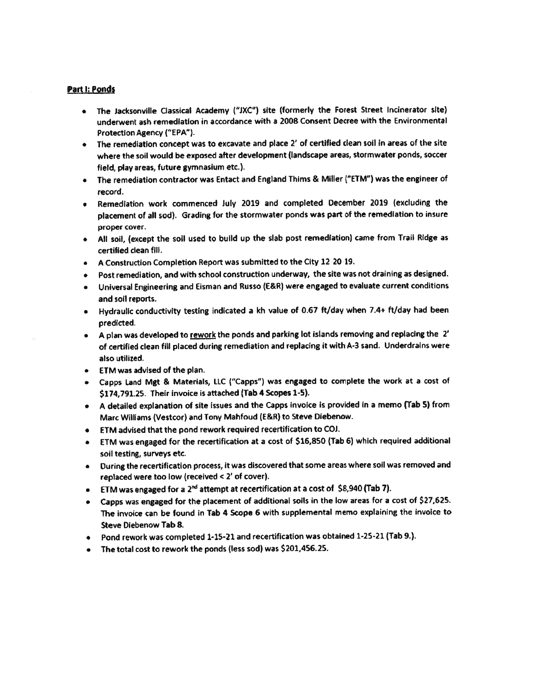#### Part I: Ponds

- . The Jacksonville Classical Academy ("JXC") site (formerly the Forest Street Incinerator site) underwent ash remediation in accordance with a 2008 Consent Decree with the Environmental Protection Agency ("EPA").
- The remediation concept was to excavate and place 2' of certified clean soil in areas of the site where the soil would be exposed after development (landscape areas, stormwater ponds, soccer field, play areas, future gymnasium etc.).
- The remediation contractor was Entact and England Thims & Miller ("ETM") was the engineer of record.
- Remediation work commenced July 2019 and completed December 2019 (excluding the  $\bullet$ placement of all sod). Grading for the stormwater ponds was part of the remediation to insure proper cover.
- All soil, (except the soil used to build up the slab post remediation) came from Trail Ridge as certified clean fill.
- A Construction Completion Report was submitted to the City 12-20-19.
- Post remediation, and with school construction underway, the site was not draining as designed.
- Universal Engineering and Eisman and Russo (E&R) were engaged to evaluate current conditions and soil reports.
- . Hydraulic conductivity testing indicated a kh value of 0.67 ft/day when 7.4+ ft/day had been predicted.
- A plan was developed to rework the ponds and parking lot islands removing and replacing the 2' of certified clean fill placed during remediation and replacing it with A-3 sand. Underdrains were also utilized.
- ETM was advised of the plan.
- Capps Land Mgt & Materials, LLC ("Capps") was engaged to complete the work at a cost of \$174,791.25. Their invoice is attached (Tab 4 Scopes 1-5).
- . A detailed explanation of site issues and the Capps invoice is provided in a memo (Tab 5) from Marc Williams (Vestcor) and Tony Mahfoud (E&R) to Steve Diebenow.
- ETM advised that the pond rework required recertification to COJ.
- ETM was engaged for the recertification at a cost of \$16,850 (Tab 6) which required additional soil testing, surveys etc.
- . During the recertification process, it was discovered that some areas where soil was removed and replaced were too low (received < 2' of cover).
- ETM was engaged for a 2<sup>nd</sup> attempt at recertification at a cost of \$8,940 (Tab 7).
- Capps was engaged for the placement of additional soils in the low areas for a cost of \$27,625. The invoice can be found in Tab 4 Scope 6 with supplemental memo explaining the invoice to **Steve Diebenow Tab 8.**
- Pond rework was completed 1-15-21 and recertification was obtained 1-25-21 (Tab 9.).
- The total cost to rework the ponds (less sod) was \$201,456.25.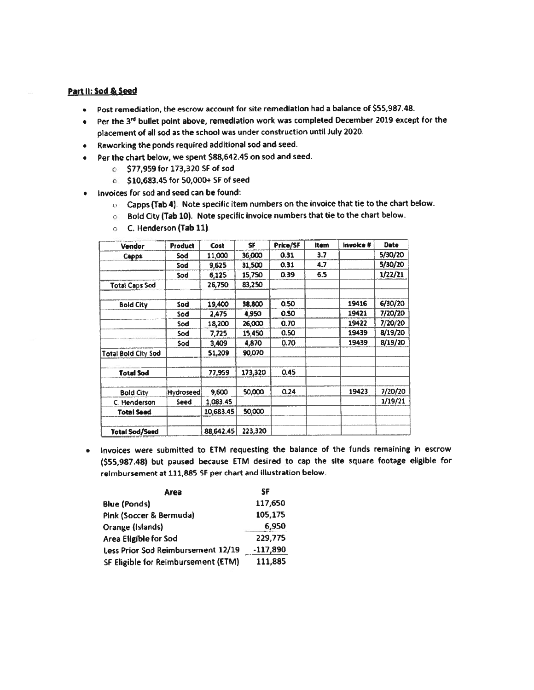#### Part II: Sod & Seed

- Post remediation, the escrow account for site remediation had a balance of \$55,987.48.
- Per the 3rd bullet point above, remediation work was completed December 2019 except for the placement of all sod as the school was under construction until July 2020.
- Reworking the ponds required additional sod and seed.  $\bullet$
- Per the chart below, we spent \$88,642.45 on sod and seed.  $\bullet$ 
	- 6 \$77,959 for 173,320 SF of sod
	- 6 \$10,683.45 for 50,000+ SF of seed
- Invoices for sod and seed can be found:  $\bullet$ 
	- o Capps (Tab 4). Note specific item numbers on the invoice that tie to the chart below.
	- of Bold City (Tab 10). Note specific invoice numbers that tie to the chart below.

| Vendor                | <b>Product</b>   | Cost      | SF      | Price/SF | <b>Item</b> | Invoice # | Date    |
|-----------------------|------------------|-----------|---------|----------|-------------|-----------|---------|
| Capps                 | Sod              | 11,000    | 36,000  | 0.31     | 3.7         |           | 5/30/20 |
|                       | Sod              | 9,625     | 31,500  | 0.31     | 4.7         |           | 5/30/20 |
|                       | Sod              | 6,125     | 15,750  | 0.39     | 6.5         |           | 1/22/21 |
| <b>Total Caps Sod</b> |                  | 26,750    | 83,250  |          |             |           |         |
| <b>Bold City</b>      | Sod              | 19,400    | 38,800  | 0.50     |             | 19416     | 6/30/20 |
|                       | Sod              | 2,475     | 4,950   | 0.50     |             | 19421     | 7/20/20 |
|                       | Sod              | 18,200    | 26,000  | 0.70     |             | 19422     | 7/20/20 |
|                       | Sod              | 7,725     | 15,450  | 0.50     |             | 19439     | 8/19/20 |
|                       | Sod              | 3,409     | 4,870   | 0.70     |             | 19439     | 8/19/20 |
| Total Bold City Sod   |                  | 51,209    | 90,070  |          |             |           |         |
| <b>Total Sod</b>      |                  | 77,959    | 173,320 | 0.45     |             |           |         |
| <b>Bold City</b>      | <b>Hydroseed</b> | 9,600     | 50,000  | 0.24     |             | 19423     | 7/20/20 |
| C. Henderson          | Seed             | 1,083.45  |         |          |             |           | 1/19/21 |
| <b>Total Seed</b>     |                  | 10,683.45 | 50,000  |          |             |           |         |
| Total Sod/Seed        |                  | 88,642.45 | 223,320 |          |             |           |         |

**C.** Henderson (Tab 11).

. Invoices were submitted to ETM requesting the balance of the funds remaining in escrow (\$55,987.48) but paused because ETM desired to cap the site square footage eligible for reimbursement at 111,885 SF per chart and illustration below.

| Area                                | SF         |
|-------------------------------------|------------|
| <b>Blue (Ponds)</b>                 | 117,650    |
| Pink (Soccer & Bermuda)             | 105,175    |
| Orange (Islands)                    | 6,950      |
| Area Eligible for Sod               | 229.775    |
| Less Prior Sod Reimbursement 12/19  | $-117,890$ |
| SF Eligible for Reimbursement (ETM) | 111,885    |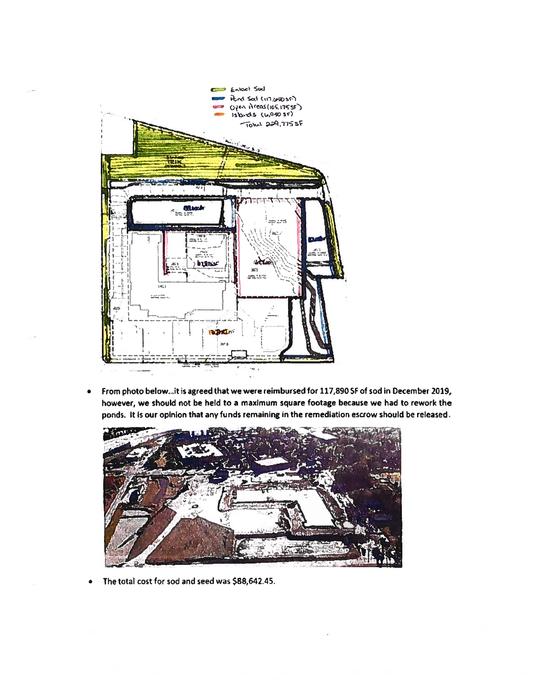

From photo below...it is agreed that we were reimbursed for 117,890 SF of sod in December 2019,  $\bullet$ however, we should not be held to a maximum square footage because we had to rework the ponds. It is our opinion that any funds remaining in the remediation escrow should be released.



The total cost for sod and seed was \$88,642.45.  $\bullet$